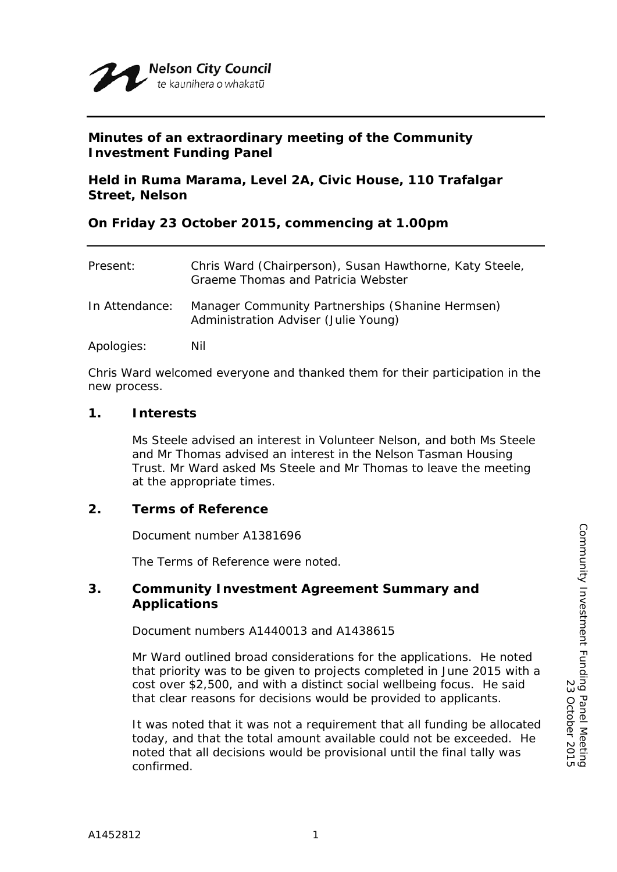

# **Minutes of an extraordinary meeting of the Community Investment Funding Panel**

**Held in Ruma Marama, Level 2A, Civic House, 110 Trafalgar Street, Nelson**

## **On Friday 23 October 2015, commencing at 1.00pm**

| Present:       | Chris Ward (Chairperson), Susan Hawthorne, Katy Steele,<br>Graeme Thomas and Patricia Webster |
|----------------|-----------------------------------------------------------------------------------------------|
| In Attendance: | Manager Community Partnerships (Shanine Hermsen)<br>Administration Adviser (Julie Young)      |
| Apologies:     | Nil                                                                                           |

Chris Ward welcomed everyone and thanked them for their participation in the new process.

### **1. Interests**

Ms Steele advised an interest in Volunteer Nelson, and both Ms Steele and Mr Thomas advised an interest in the Nelson Tasman Housing Trust. Mr Ward asked Ms Steele and Mr Thomas to leave the meeting at the appropriate times.

# **2. Terms of Reference**

Document number A1381696

The Terms of Reference were noted.

## **3. Community Investment Agreement Summary and Applications**

Document numbers A1440013 and A1438615

Mr Ward outlined broad considerations for the applications. He noted that priority was to be given to projects completed in June 2015 with a cost over \$2,500, and with a distinct social wellbeing focus. He said that clear reasons for decisions would be provided to applicants.

It was noted that it was not a requirement that all funding be allocated today, and that the total amount available could not be exceeded. He noted that all decisions would be provisional until the final tally was confirmed.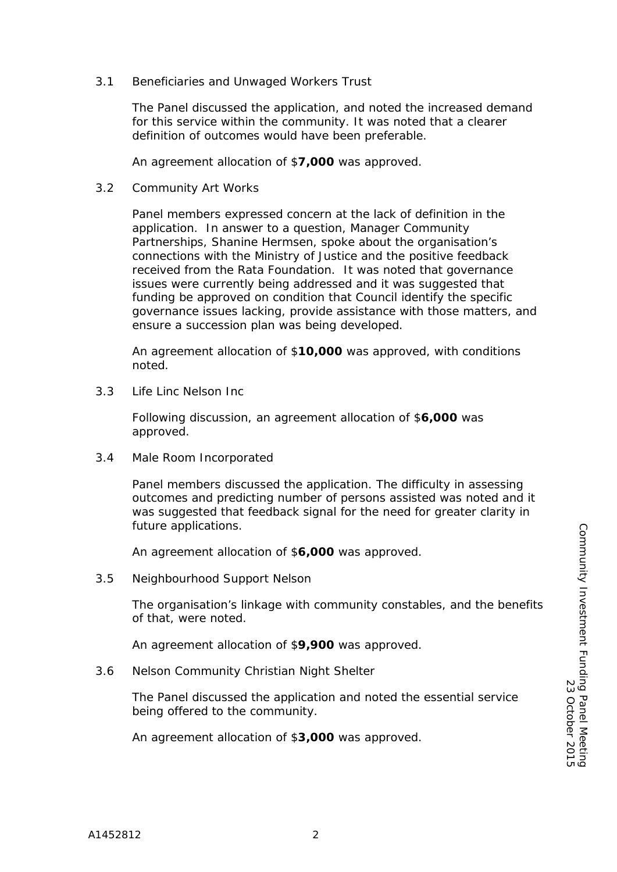3.1 Beneficiaries and Unwaged Workers Trust

The Panel discussed the application, and noted the increased demand for this service within the community. It was noted that a clearer definition of outcomes would have been preferable.

An agreement allocation of \$**7,000** was approved.

3.2 Community Art Works

Panel members expressed concern at the lack of definition in the application. In answer to a question, Manager Community Partnerships, Shanine Hermsen, spoke about the organisation's connections with the Ministry of Justice and the positive feedback received from the Rata Foundation. It was noted that governance issues were currently being addressed and it was suggested that funding be approved on condition that Council identify the specific governance issues lacking, provide assistance with those matters, and ensure a succession plan was being developed.

An agreement allocation of \$**10,000** was approved, with conditions noted.

3.3 Life Linc Nelson Inc

Following discussion, an agreement allocation of \$**6,000** was approved.

3.4 Male Room Incorporated

Panel members discussed the application. The difficulty in assessing outcomes and predicting number of persons assisted was noted and it was suggested that feedback signal for the need for greater clarity in future applications.

An agreement allocation of \$**6,000** was approved.

3.5 Neighbourhood Support Nelson

The organisation's linkage with community constables, and the benefits of that, were noted.

An agreement allocation of \$**9,900** was approved.

3.6 Nelson Community Christian Night Shelter

The Panel discussed the application and noted the essential service being offered to the community.

An agreement allocation of \$**3,000** was approved.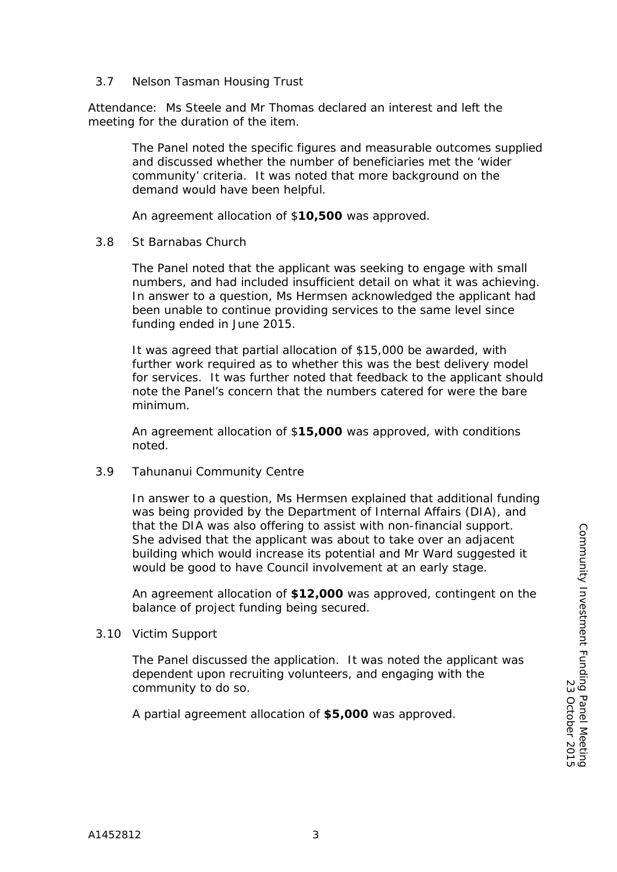### 3.7 Nelson Tasman Housing Trust

Attendance: Ms Steele and Mr Thomas declared an interest and left the meeting for the duration of the item.

> The Panel noted the specific figures and measurable outcomes supplied and discussed whether the number of beneficiaries met the 'wider community' criteria. It was noted that more background on the demand would have been helpful.

An agreement allocation of \$**10,500** was approved.

### 3.8 St Barnabas Church

The Panel noted that the applicant was seeking to engage with small numbers, and had included insufficient detail on what it was achieving. In answer to a question, Ms Hermsen acknowledged the applicant had been unable to continue providing services to the same level since funding ended in June 2015.

It was agreed that partial allocation of \$15,000 be awarded, with further work required as to whether this was the best delivery model for services. It was further noted that feedback to the applicant should note the Panel's concern that the numbers catered for were the bare minimum.

An agreement allocation of \$**15,000** was approved, with conditions noted.

#### 3.9 Tahunanui Community Centre

In answer to a question, Ms Hermsen explained that additional funding was being provided by the Department of Internal Affairs (DIA), and that the DIA was also offering to assist with non-financial support. She advised that the applicant was about to take over an adjacent building which would increase its potential and Mr Ward suggested it would be good to have Council involvement at an early stage.

An agreement allocation of **\$12,000** was approved, contingent on the balance of project funding being secured.

#### 3.10 Victim Support

The Panel discussed the application. It was noted the applicant was dependent upon recruiting volunteers, and engaging with the community to do so.

A partial agreement allocation of **\$5,000** was approved.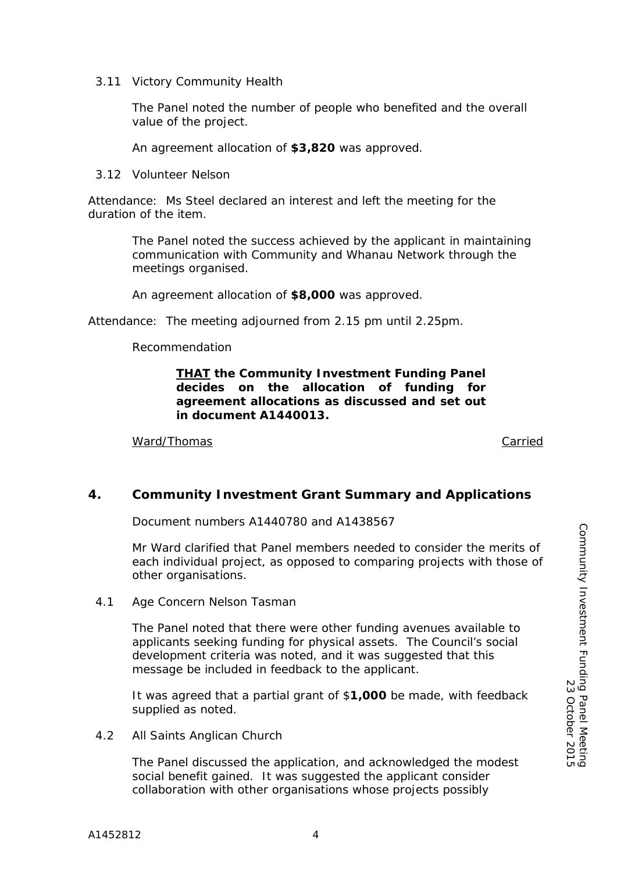3.11 Victory Community Health

The Panel noted the number of people who benefited and the overall value of the project.

An agreement allocation of **\$3,820** was approved.

3.12 Volunteer Nelson

Attendance: Ms Steel declared an interest and left the meeting for the duration of the item.

> The Panel noted the success achieved by the applicant in maintaining communication with Community and Whanau Network through the meetings organised.

An agreement allocation of **\$8,000** was approved.

Attendance: The meeting adjourned from 2.15 pm until 2.25pm.

Recommendation

## *THAT the Community Investment Funding Panel decides on the allocation of funding for agreement allocations as discussed and set out in document A1440013.*

Ward/Thomas Carried Carried Carried Carried Carried Carried Carried Carried Carried Carried Carried Carried Carried Carried Carried Carried Carried Carried Carried Carried Carried Carried Carried Carried Carried Carried Ca

# **4. Community Investment Grant Summary and Applications**

Document numbers A1440780 and A1438567

Mr Ward clarified that Panel members needed to consider the merits of each individual project, as opposed to comparing projects with those of other organisations.

4.1 Age Concern Nelson Tasman

The Panel noted that there were other funding avenues available to applicants seeking funding for physical assets. The Council's social development criteria was noted, and it was suggested that this message be included in feedback to the applicant.

It was agreed that a partial grant of \$**1,000** be made, with feedback supplied as noted.

4.2 All Saints Anglican Church

The Panel discussed the application, and acknowledged the modest social benefit gained. It was suggested the applicant consider collaboration with other organisations whose projects possibly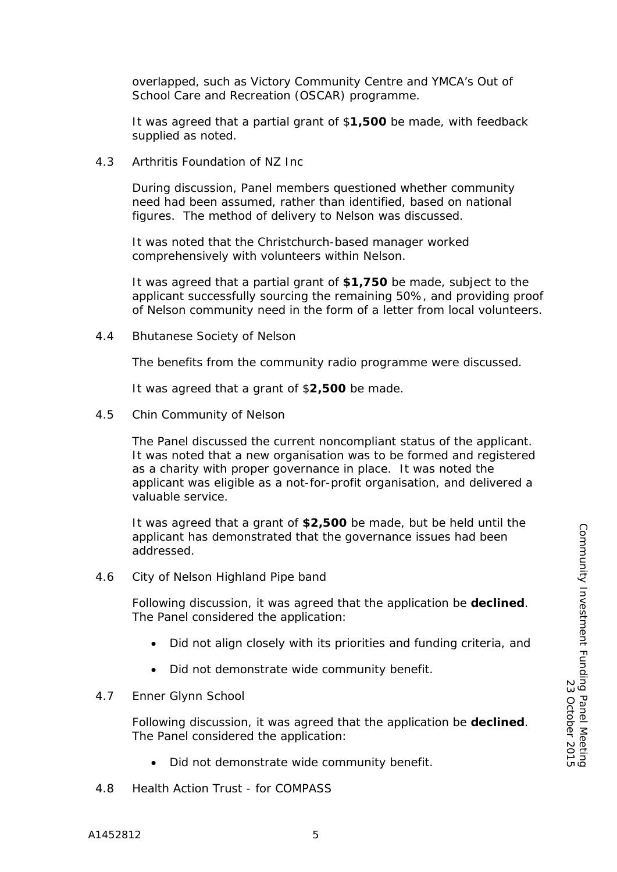overlapped, such as Victory Community Centre and YMCA's Out of School Care and Recreation (OSCAR) programme.

It was agreed that a partial grant of \$**1,500** be made, with feedback supplied as noted.

4.3 Arthritis Foundation of NZ Inc

During discussion, Panel members questioned whether community need had been assumed, rather than identified, based on national figures. The method of delivery to Nelson was discussed.

It was noted that the Christchurch-based manager worked comprehensively with volunteers within Nelson.

It was agreed that a partial grant of **\$1,750** be made, subject to the applicant successfully sourcing the remaining 50%, and providing proof of Nelson community need in the form of a letter from local volunteers.

4.4 Bhutanese Society of Nelson

The benefits from the community radio programme were discussed.

It was agreed that a grant of \$**2,500** be made.

4.5 Chin Community of Nelson

The Panel discussed the current noncompliant status of the applicant. It was noted that a new organisation was to be formed and registered as a charity with proper governance in place. It was noted the applicant was eligible as a not-for-profit organisation, and delivered a valuable service.

It was agreed that a grant of **\$2,500** be made, but be held until the applicant has demonstrated that the governance issues had been addressed.

4.6 City of Nelson Highland Pipe band

Following discussion, it was agreed that the application be **declined**. The Panel considered the application:

- Did not align closely with its priorities and funding criteria, and
- Did not demonstrate wide community benefit.
- 4.7 Enner Glynn School

Following discussion, it was agreed that the application be **declined**. The Panel considered the application:

- Did not demonstrate wide community benefit.
- 4.8 Health Action Trust for COMPASS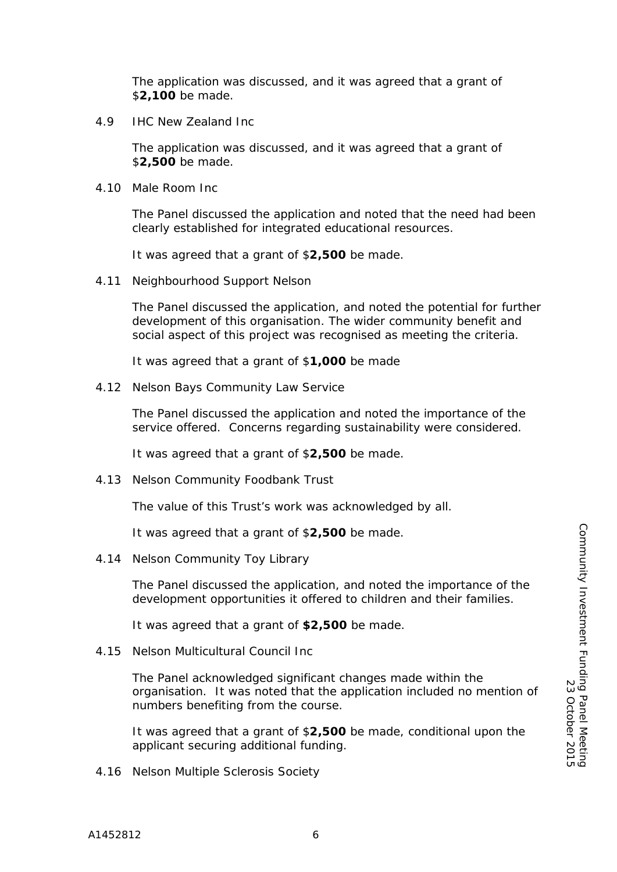The application was discussed, and it was agreed that a grant of \$**2,100** be made.

4.9 IHC New Zealand Inc

The application was discussed, and it was agreed that a grant of \$**2,500** be made.

4.10 Male Room Inc

The Panel discussed the application and noted that the need had been clearly established for integrated educational resources.

It was agreed that a grant of \$**2,500** be made.

4.11 Neighbourhood Support Nelson

The Panel discussed the application, and noted the potential for further development of this organisation. The wider community benefit and social aspect of this project was recognised as meeting the criteria.

It was agreed that a grant of \$**1,000** be made

4.12 Nelson Bays Community Law Service

The Panel discussed the application and noted the importance of the service offered. Concerns regarding sustainability were considered.

It was agreed that a grant of \$**2,500** be made.

4.13 Nelson Community Foodbank Trust

The value of this Trust's work was acknowledged by all.

It was agreed that a grant of \$**2,500** be made.

4.14 Nelson Community Toy Library

The Panel discussed the application, and noted the importance of the development opportunities it offered to children and their families.

It was agreed that a grant of **\$2,500** be made.

4.15 Nelson Multicultural Council Inc

The Panel acknowledged significant changes made within the organisation. It was noted that the application included no mention of numbers benefiting from the course.

It was agreed that a grant of \$**2,500** be made, conditional upon the applicant securing additional funding.

4.16 Nelson Multiple Sclerosis Society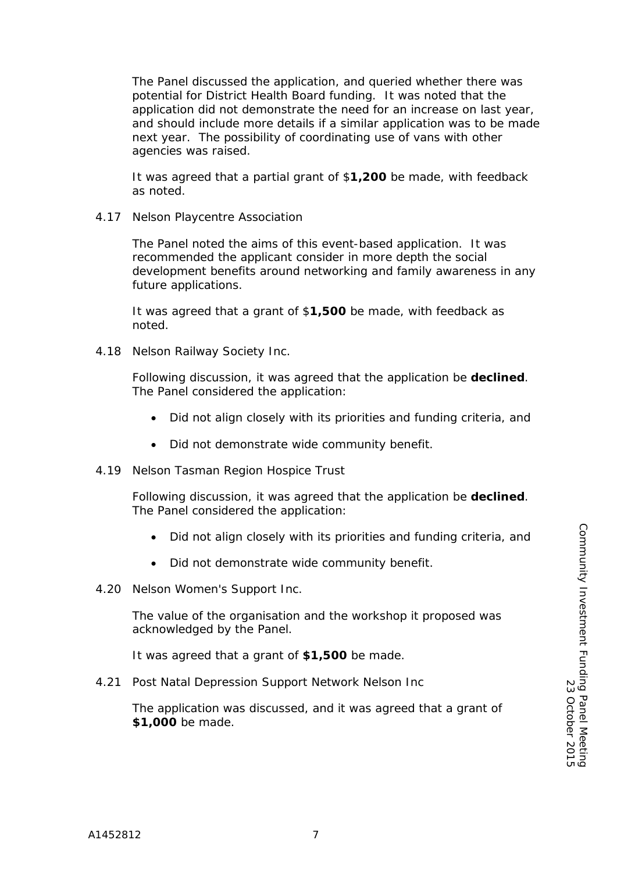The Panel discussed the application, and queried whether there was potential for District Health Board funding. It was noted that the application did not demonstrate the need for an increase on last year, and should include more details if a similar application was to be made next year. The possibility of coordinating use of vans with other agencies was raised.

It was agreed that a partial grant of \$**1,200** be made, with feedback as noted.

4.17 Nelson Playcentre Association

The Panel noted the aims of this event-based application. It was recommended the applicant consider in more depth the social development benefits around networking and family awareness in any future applications.

It was agreed that a grant of \$**1,500** be made, with feedback as noted.

4.18 Nelson Railway Society Inc.

Following discussion, it was agreed that the application be **declined**. The Panel considered the application:

- Did not align closely with its priorities and funding criteria, and
- Did not demonstrate wide community benefit.
- 4.19 Nelson Tasman Region Hospice Trust

Following discussion, it was agreed that the application be **declined**. The Panel considered the application:

- Did not align closely with its priorities and funding criteria, and
- Did not demonstrate wide community benefit.
- 4.20 Nelson Women's Support Inc.

The value of the organisation and the workshop it proposed was acknowledged by the Panel.

It was agreed that a grant of **\$1,500** be made.

4.21 Post Natal Depression Support Network Nelson Inc

The application was discussed, and it was agreed that a grant of **\$1,000** be made.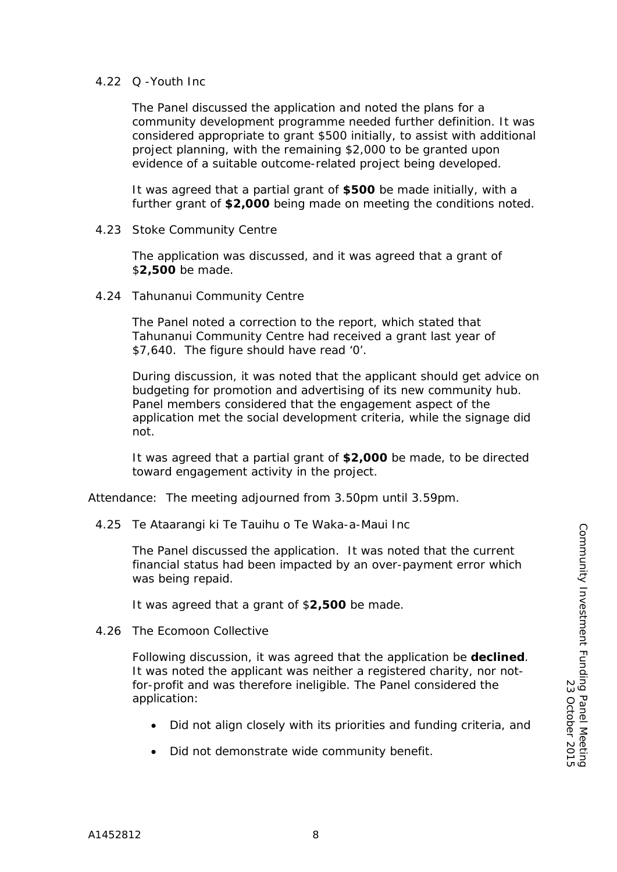### 4.22 Q -Youth Inc

The Panel discussed the application and noted the plans for a community development programme needed further definition. It was considered appropriate to grant \$500 initially, to assist with additional project planning, with the remaining \$2,000 to be granted upon evidence of a suitable outcome-related project being developed.

It was agreed that a partial grant of **\$500** be made initially, with a further grant of **\$2,000** being made on meeting the conditions noted.

4.23 Stoke Community Centre

The application was discussed, and it was agreed that a grant of \$**2,500** be made.

4.24 Tahunanui Community Centre

The Panel noted a correction to the report, which stated that Tahunanui Community Centre had received a grant last year of \$7,640. The figure should have read '0'.

During discussion, it was noted that the applicant should get advice on budgeting for promotion and advertising of its new community hub. Panel members considered that the engagement aspect of the application met the social development criteria, while the signage did not.

It was agreed that a partial grant of **\$2,000** be made, to be directed toward engagement activity in the project.

Attendance: The meeting adjourned from 3.50pm until 3.59pm.

4.25 Te Ataarangi ki Te Tauihu o Te Waka-a-Maui Inc

The Panel discussed the application. It was noted that the current financial status had been impacted by an over-payment error which was being repaid.

It was agreed that a grant of \$**2,500** be made.

4.26 The Ecomoon Collective

Following discussion, it was agreed that the application be **declined**. It was noted the applicant was neither a registered charity, nor notfor-profit and was therefore ineligible. The Panel considered the application:

- Did not align closely with its priorities and funding criteria, and
- Did not demonstrate wide community benefit.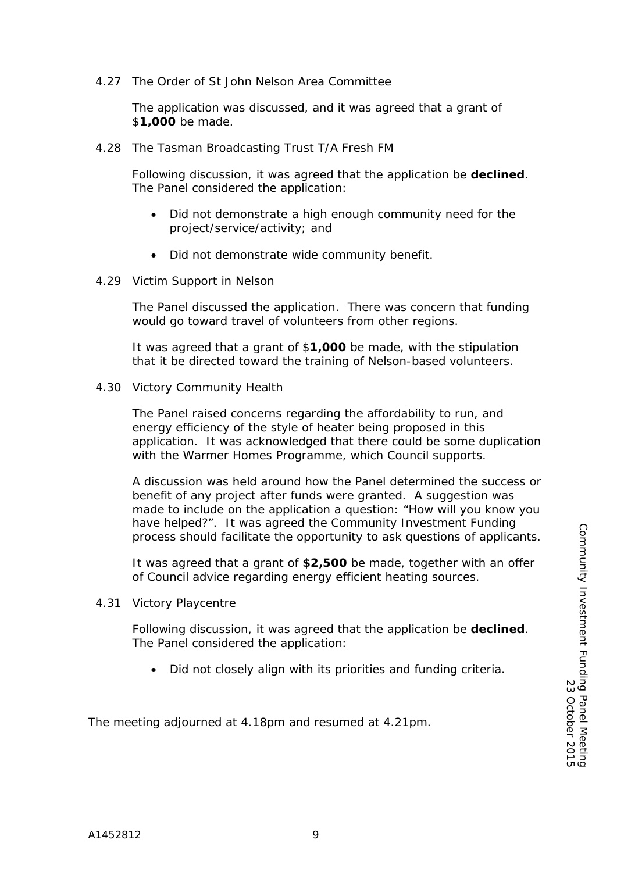4.27 The Order of St John Nelson Area Committee

The application was discussed, and it was agreed that a grant of \$**1,000** be made.

4.28 The Tasman Broadcasting Trust T/A Fresh FM

Following discussion, it was agreed that the application be **declined**. The Panel considered the application:

- Did not demonstrate a high enough community need for the project/service/activity; and
- Did not demonstrate wide community benefit.
- 4.29 Victim Support in Nelson

The Panel discussed the application. There was concern that funding would go toward travel of volunteers from other regions.

It was agreed that a grant of \$**1,000** be made, with the stipulation that it be directed toward the training of Nelson-based volunteers.

4.30 Victory Community Health

The Panel raised concerns regarding the affordability to run, and energy efficiency of the style of heater being proposed in this application. It was acknowledged that there could be some duplication with the Warmer Homes Programme, which Council supports.

A discussion was held around how the Panel determined the success or benefit of any project after funds were granted. A suggestion was made to include on the application a question: "How will you know you have helped?". It was agreed the Community Investment Funding process should facilitate the opportunity to ask questions of applicants.

It was agreed that a grant of **\$2,500** be made, together with an offer of Council advice regarding energy efficient heating sources.

4.31 Victory Playcentre

Following discussion, it was agreed that the application be **declined**. The Panel considered the application:

• Did not closely align with its priorities and funding criteria.

The meeting adjourned at 4.18pm and resumed at 4.21pm.